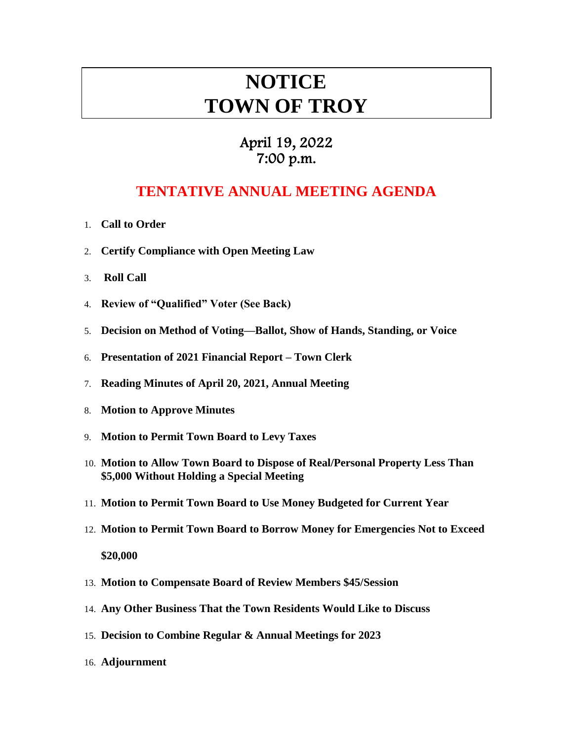# **NOTICE TOWN OF TROY**

### April 19, 2022 7:00 p.m.

## **TENTATIVE ANNUAL MEETING AGENDA**

- 1. **Call to Order**
- 2. **Certify Compliance with Open Meeting Law**
- 3. **Roll Call**
- 4. **Review of "Qualified" Voter (See Back)**
- 5. **Decision on Method of Voting—Ballot, Show of Hands, Standing, or Voice**
- 6. **Presentation of 2021 Financial Report – Town Clerk**
- 7. **Reading Minutes of April 20, 2021, Annual Meeting**
- 8. **Motion to Approve Minutes**
- 9. **Motion to Permit Town Board to Levy Taxes**
- 10. **Motion to Allow Town Board to Dispose of Real/Personal Property Less Than \$5,000 Without Holding a Special Meeting**
- 11. **Motion to Permit Town Board to Use Money Budgeted for Current Year**
- 12. **Motion to Permit Town Board to Borrow Money for Emergencies Not to Exceed \$20,000**
- 13. **Motion to Compensate Board of Review Members \$45/Session**
- 14. **Any Other Business That the Town Residents Would Like to Discuss**
- 15. **Decision to Combine Regular & Annual Meetings for 2023**
- 16. **Adjournment**